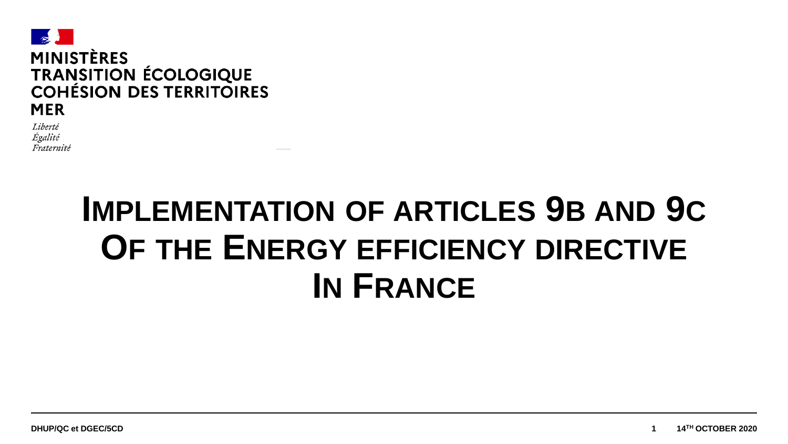

Liberté Égalité Fraternité

# **IMPLEMENTATION OF ARTICLES 9B AND 9C OF THE ENERGY EFFICIENCY DIRECTIVE IN FRANCE**

**TH OCTOBER 2020**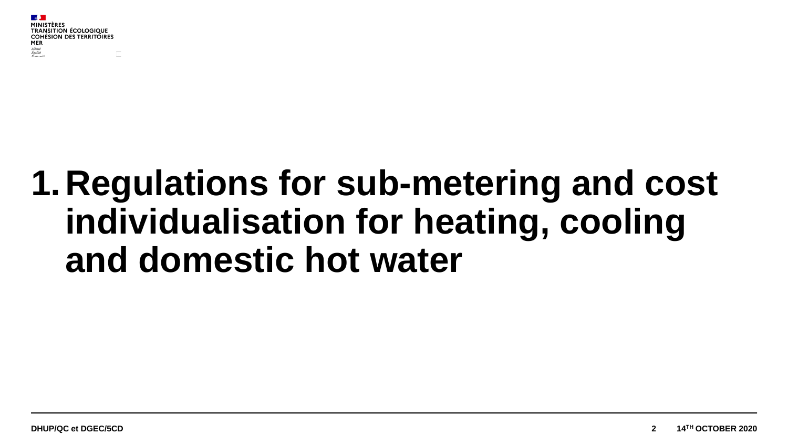# **1.Regulations for sub-metering and cost individualisation for heating, cooling and domestic hot water**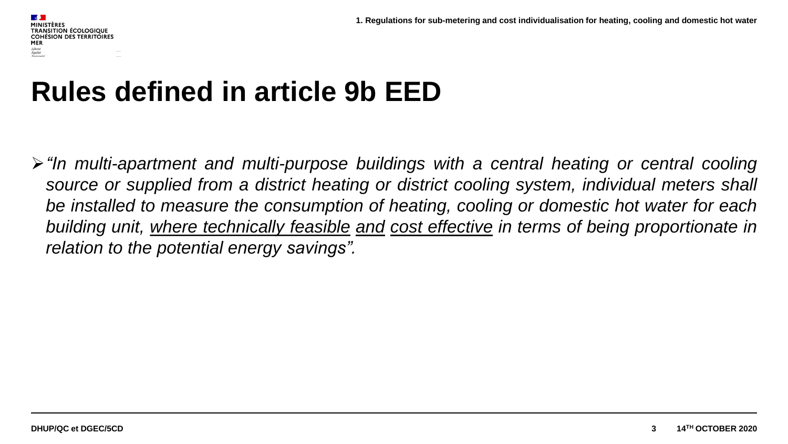#### **Rules defined in article 9b EED**

*"In multi-apartment and multi-purpose buildings with a central heating or central cooling source or supplied from a district heating or district cooling system, individual meters shall be installed to measure the consumption of heating, cooling or domestic hot water for each building unit, where technically feasible and cost effective in terms of being proportionate in relation to the potential energy savings".*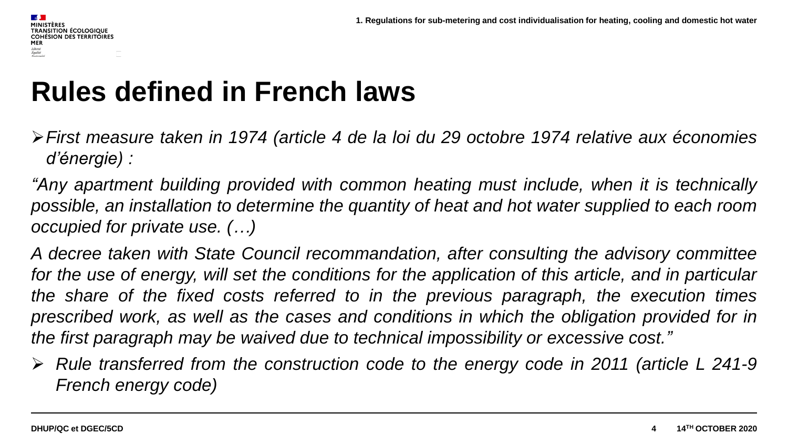#### **Rules defined in French laws**

- *First measure taken in 1974 (article 4 de la loi du 29 octobre 1974 relative aux économies d'énergie) :*
- *"Any apartment building provided with common heating must include, when it is technically possible, an installation to determine the quantity of heat and hot water supplied to each room occupied for private use. (…)*
- *A decree taken with State Council recommandation, after consulting the advisory committee* for the use of energy, will set the conditions for the application of this article, and in particular *the share of the fixed costs referred to in the previous paragraph, the execution times prescribed work, as well as the cases and conditions in which the obligation provided for in the first paragraph may be waived due to technical impossibility or excessive cost."*
- *Rule transferred from the construction code to the energy code in 2011 (article L 241-9 French energy code)*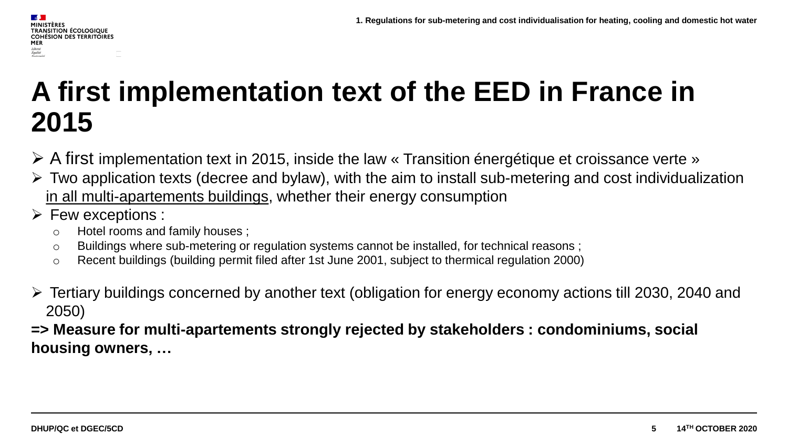#### **TRANSITION ÉCOLOGIQUE COHÉSION DES TERRITOIRES** MER Liberté<br>Égalité<br>Fraternité

#### **A first implementation text of the EED in France in 2015**

- A first implementation text in 2015, inside the law « Transition énergétique et croissance verte »
- $\triangleright$  Two application texts (decree and bylaw), with the aim to install sub-metering and cost individualization in all multi-apartements buildings, whether their energy consumption
- $\triangleright$  Few exceptions :
	- o Hotel rooms and family houses ;
	- $\circ$  Buildings where sub-metering or regulation systems cannot be installed, for technical reasons;
	- $\circ$  Recent buildings (building permit filed after 1st June 2001, subject to thermical regulation 2000)
- Tertiary buildings concerned by another text (obligation for energy economy actions till 2030, 2040 and 2050)

**=> Measure for multi-apartements strongly rejected by stakeholders : condominiums, social housing owners, …**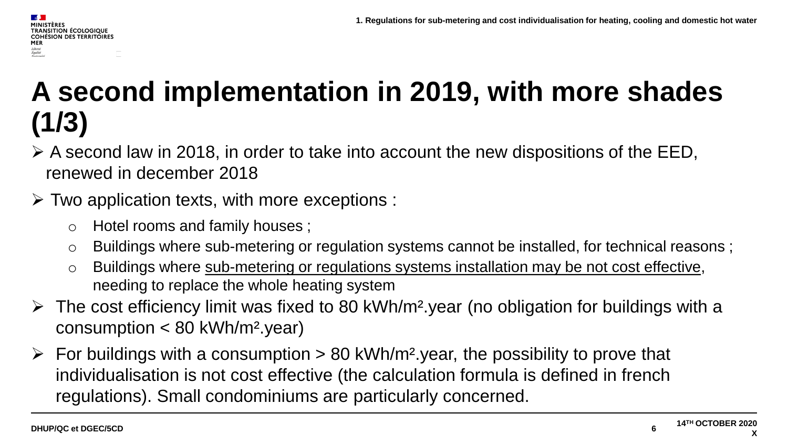#### **MINISTÈRES TRANSITION ÉCOLOGIQUE COHÉSION DES TERRITOIRES** MER Liberté<br>Égalité<br>Fraternit

#### **A second implementation in 2019, with more shades (1/3)**

 $\triangleright$  A second law in 2018, in order to take into account the new dispositions of the EED, renewed in december 2018

#### $\triangleright$  Two application texts, with more exceptions :

- o Hotel rooms and family houses ;
- o Buildings where sub-metering or regulation systems cannot be installed, for technical reasons ;
- o Buildings where sub-metering or regulations systems installation may be not cost effective, needing to replace the whole heating system
- $\triangleright$  The cost efficiency limit was fixed to 80 kWh/m<sup>2</sup> year (no obligation for buildings with a consumption < 80 kWh/m².year)
- $\triangleright$  For buildings with a consumption  $> 80$  kWh/m<sup>2</sup> year, the possibility to prove that individualisation is not cost effective (the calculation formula is defined in french regulations). Small condominiums are particularly concerned.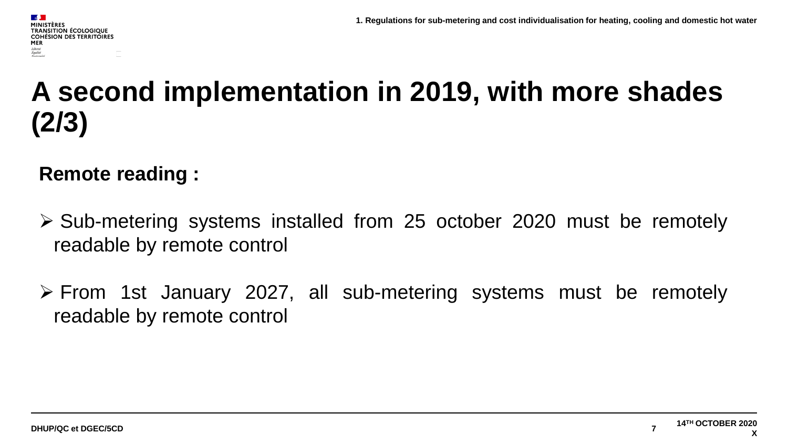#### **A second implementation in 2019, with more shades (2/3)**

#### **Remote reading :**

- $\geq$  Sub-metering systems installed from 25 october 2020 must be remotely readable by remote control
- From 1st January 2027, all sub-metering systems must be remotely readable by remote control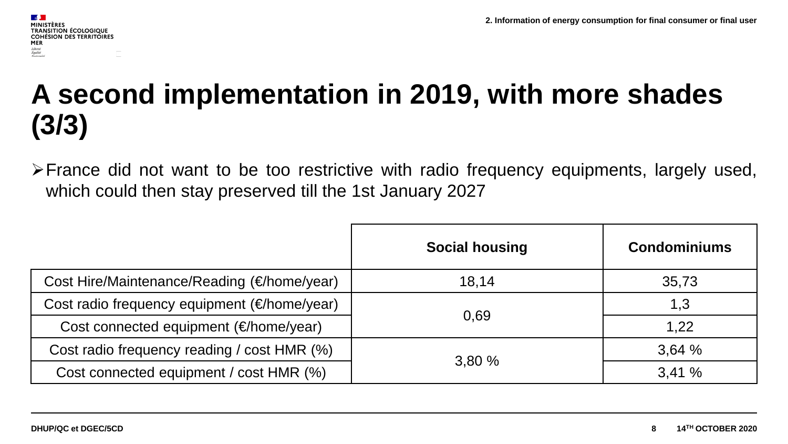#### **A second implementation in 2019, with more shades (3/3)**

France did not want to be too restrictive with radio frequency equipments, largely used, which could then stay preserved till the 1st January 2027

|                                              | <b>Social housing</b> | <b>Condominiums</b> |
|----------------------------------------------|-----------------------|---------------------|
| Cost Hire/Maintenance/Reading (€/home/year)  | 18,14                 | 35,73               |
| Cost radio frequency equipment (€/home/year) | 0,69                  | 1,3                 |
| Cost connected equipment (€/home/year)       |                       | 1,22                |
| Cost radio frequency reading / cost HMR (%)  | 3,80 %                | 3,64%               |
| Cost connected equipment / cost HMR (%)      |                       | 3.41 %              |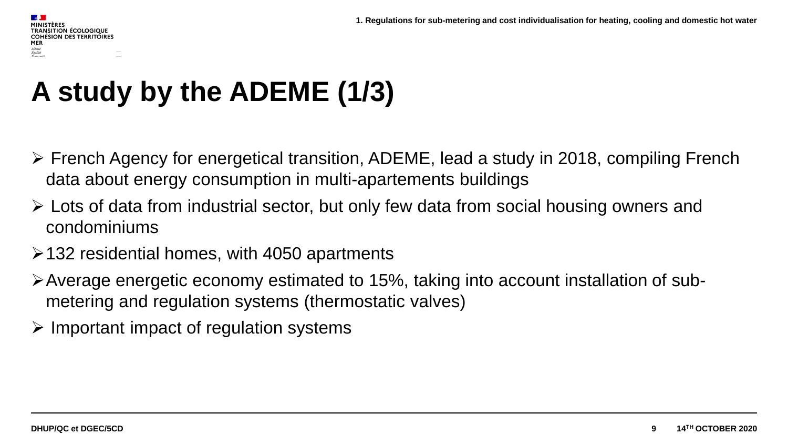## **A study by the ADEME (1/3)**

- French Agency for energetical transition, ADEME, lead a study in 2018, compiling French data about energy consumption in multi-apartements buildings
- Lots of data from industrial sector, but only few data from social housing owners and condominiums
- $\ge$  132 residential homes, with 4050 apartments
- Average energetic economy estimated to 15%, taking into account installation of submetering and regulation systems (thermostatic valves)
- $\triangleright$  Important impact of regulation systems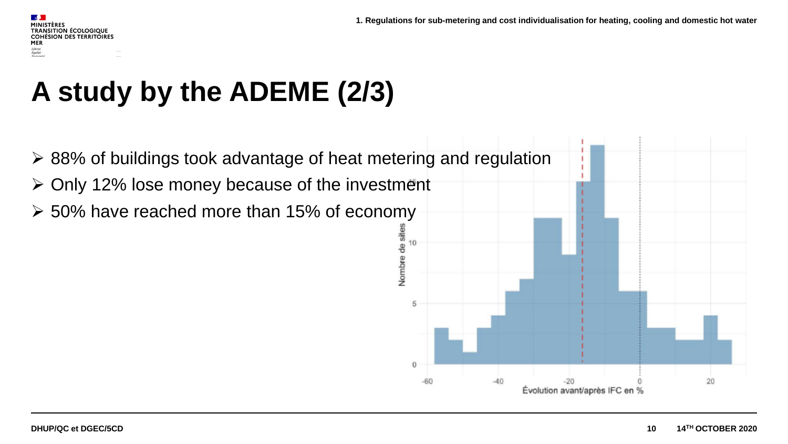#### **SALE MINISTÈRES TRANSITION ÉCOLOGIQUE COHÉSION DES TERRITOIRES** MER Liberté<br>Égalité<br>Fraternit

### **A study by the ADEME (2/3)**

 88% of buildings took advantage of heat metering and regulation  $\geq$  Only 12% lose money because of the investment  $\geq$  50% have reached more than 15% of economy Nombre de sites 10 5  $\Omega$  $-60$  $-40$  $-20$ 20 Évolution avant/après IFC en %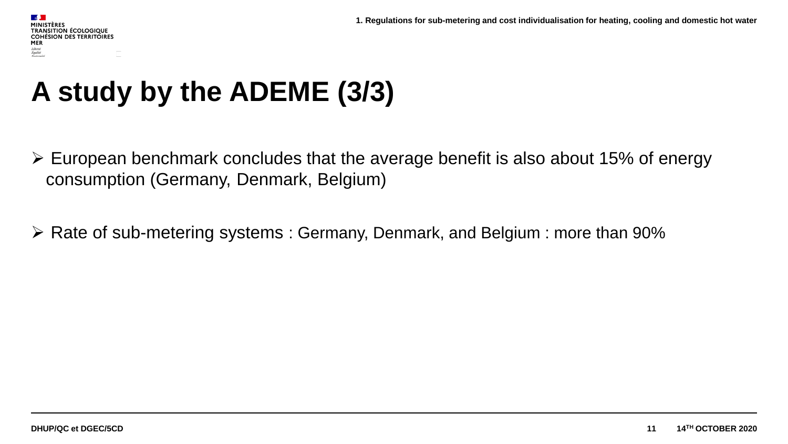### **A study by the ADEME (3/3)**

- $\triangleright$  European benchmark concludes that the average benefit is also about 15% of energy consumption (Germany, Denmark, Belgium)
- Rate of sub-metering systems : Germany, Denmark, and Belgium : more than 90%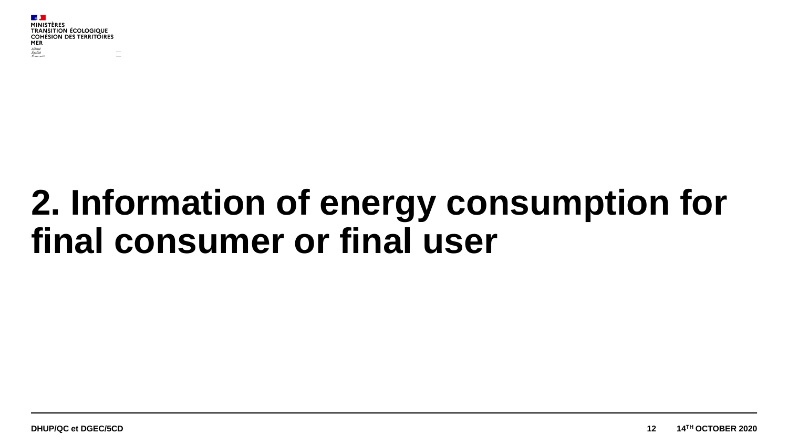# **2. Information of energy consumption for final consumer or final user**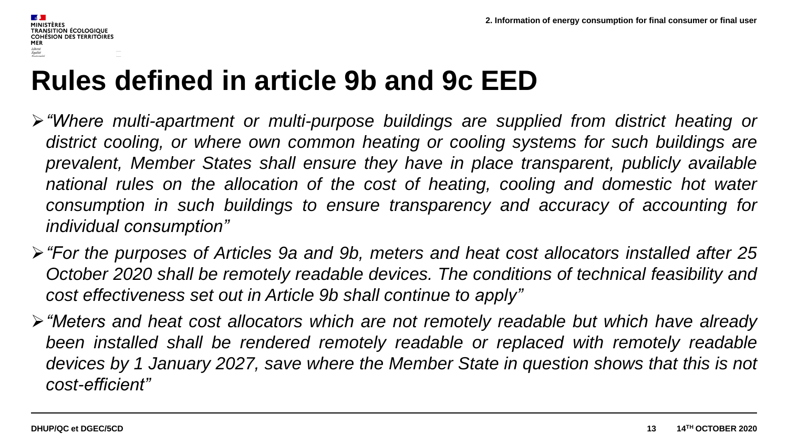#### **Rules defined in article 9b and 9c EED**

- *"Where multi-apartment or multi-purpose buildings are supplied from district heating or district cooling, or where own common heating or cooling systems for such buildings are prevalent, Member States shall ensure they have in place transparent, publicly available national rules on the allocation of the cost of heating, cooling and domestic hot water consumption in such buildings to ensure transparency and accuracy of accounting for individual consumption"*
- *"For the purposes of Articles 9a and 9b, meters and heat cost allocators installed after 25 October 2020 shall be remotely readable devices. The conditions of technical feasibility and cost effectiveness set out in Article 9b shall continue to apply"*
- *"Meters and heat cost allocators which are not remotely readable but which have already been installed shall be rendered remotely readable or replaced with remotely readable devices by 1 January 2027, save where the Member State in question shows that this is not cost-efficient"*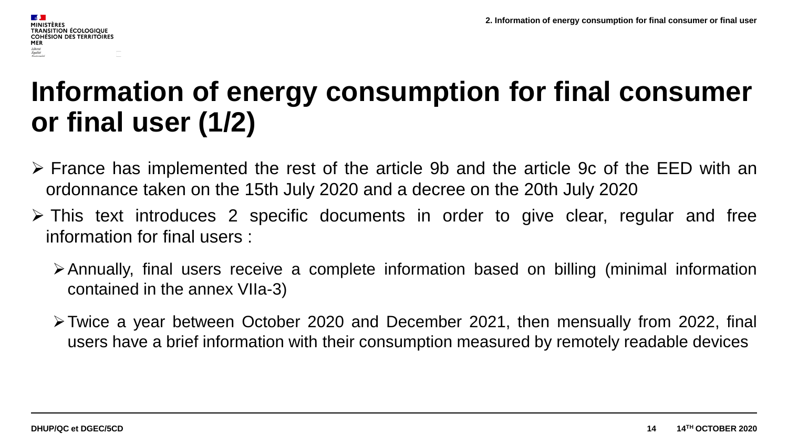#### **Information of energy consumption for final consumer or final user (1/2)**

- France has implemented the rest of the article 9b and the article 9c of the EED with an ordonnance taken on the 15th July 2020 and a decree on the 20th July 2020
- This text introduces 2 specific documents in order to give clear, regular and free information for final users :
	- Annually, final users receive a complete information based on billing (minimal information contained in the annex VIIa-3)
	- Twice a year between October 2020 and December 2021, then mensually from 2022, final users have a brief information with their consumption measured by remotely readable devices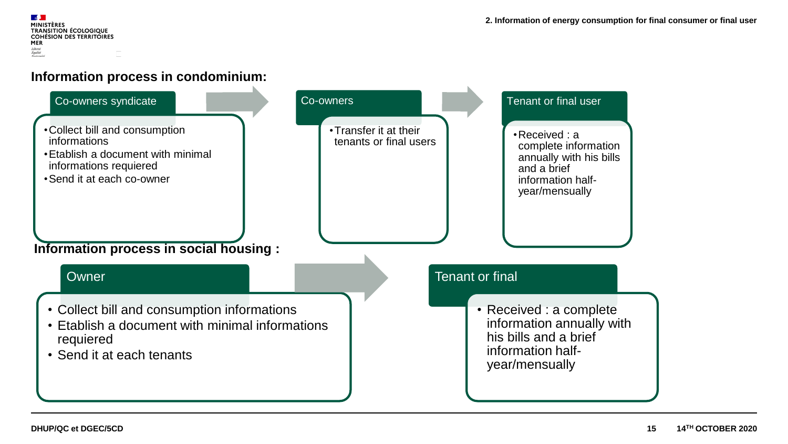**ALC MINISTÈRES** TRANSITION ÉCOLOGIQUE<br>COHÉSION DES TERRITOIRES MER Liberté<br>Égalité<br>Fraternité

#### **Information process in condominium:**